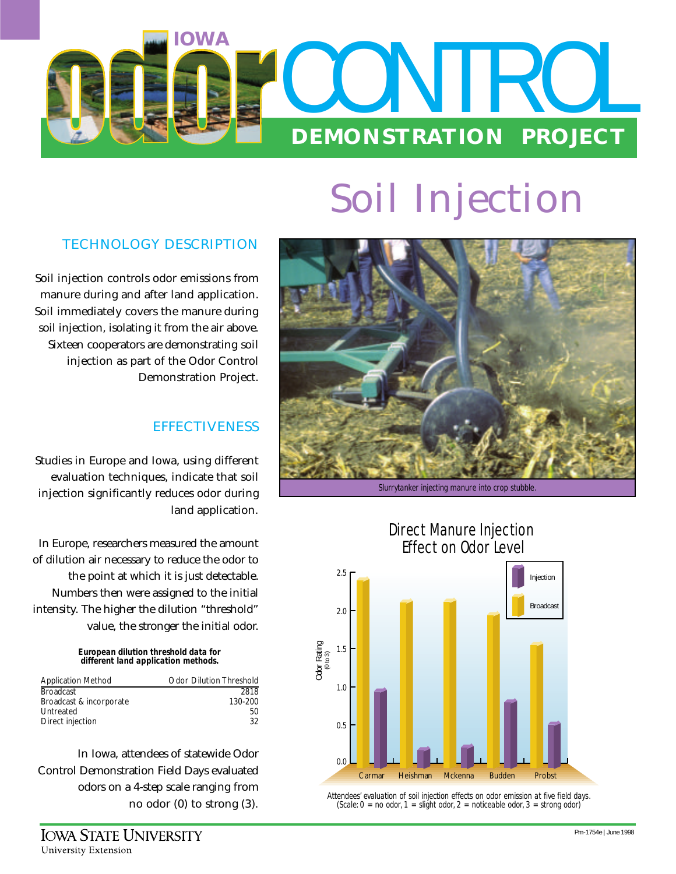

# **Soil Injection**

## **TECHNOLOGY DESCRIPTION**

Soil injection controls odor emissions from manure during and after land application. Soil immediately covers the manure during soil injection, isolating it from the air above. Sixteen cooperators are demonstrating soil injection as part of the Odor Control Demonstration Project.

### **EFFECTIVENESS**

Studies in Europe and Iowa, using different evaluation techniques, indicate that soil injection significantly reduces odor during land application.

In Europe, researchers measured the amount of dilution air necessary to reduce the odor to the point at which it is just detectable. Numbers then were assigned to the initial intensity. The higher the dilution "threshold" value, the stronger the initial odor.

#### *European dilution threshold data for different land application methods.*

| <b>Application Method</b> | <b>Odor Dilution Threshold</b> |
|---------------------------|--------------------------------|
| <b>Broadcast</b>          | 2818                           |
| Broadcast & incorporate   | 130-200                        |
| Untreated                 | 50                             |
| Direct injection          | 32                             |

In Iowa, attendees of statewide Odor Control Demonstration Field Days evaluated odors on a 4-step scale ranging from no odor (0) to strong (3).



*Slurrytanker injecting manure into crop stubble.*



*Attendees' evaluation of soil injection effects on odor emission at five field days. (Scale: 0 = no odor, 1 = slight odor, 2 = noticeable odor, 3 = strong odor)*